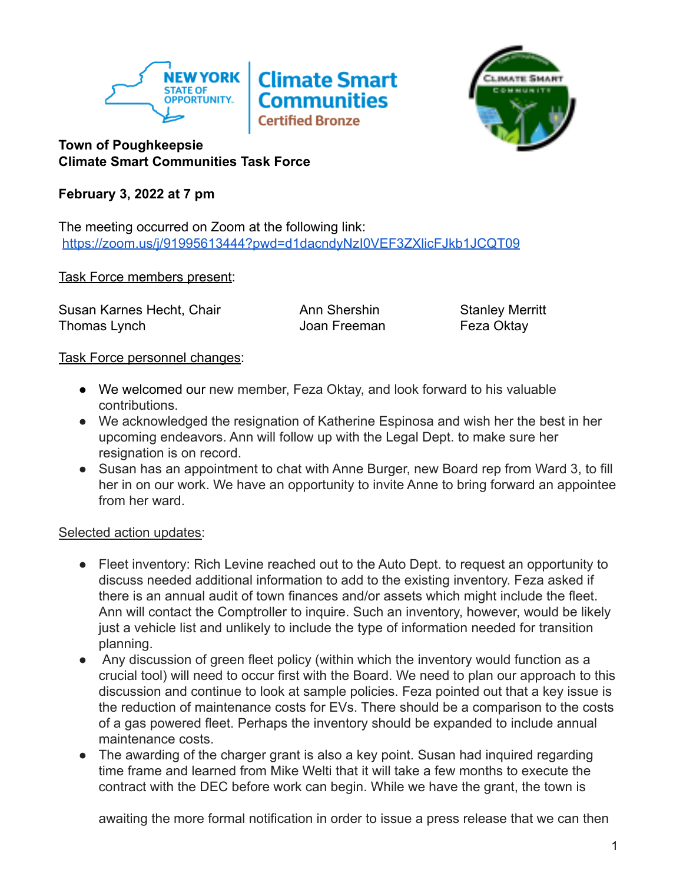



## **Town of Poughkeepsie Climate Smart Communities Task Force**

# **February 3, 2022 at 7 pm**

The meeting occurred on Zoom at the following link: <https://zoom.us/j/91995613444?pwd=d1dacndyNzI0VEF3ZXlicFJkb1JCQT09>

### Task Force members present:

Susan Karnes Hecht, Chair **Ann Shershin** Stanley Merritt Thomas Lynch Thomas Cynch Christian Museum Joan Freeman Thomas Eeza Oktay

### Task Force personnel changes:

- We welcomed our new member, Feza Oktay, and look forward to his valuable contributions.
- We acknowledged the resignation of Katherine Espinosa and wish her the best in her upcoming endeavors. Ann will follow up with the Legal Dept. to make sure her resignation is on record.
- Susan has an appointment to chat with Anne Burger, new Board rep from Ward 3, to fill her in on our work. We have an opportunity to invite Anne to bring forward an appointee from her ward.

Selected action updates:

- Fleet inventory: Rich Levine reached out to the Auto Dept. to request an opportunity to discuss needed additional information to add to the existing inventory. Feza asked if there is an annual audit of town finances and/or assets which might include the fleet. Ann will contact the Comptroller to inquire. Such an inventory, however, would be likely just a vehicle list and unlikely to include the type of information needed for transition planning.
- Any discussion of green fleet policy (within which the inventory would function as a crucial tool) will need to occur first with the Board. We need to plan our approach to this discussion and continue to look at sample policies. Feza pointed out that a key issue is the reduction of maintenance costs for EVs. There should be a comparison to the costs of a gas powered fleet. Perhaps the inventory should be expanded to include annual maintenance costs.
- The awarding of the charger grant is also a key point. Susan had inquired regarding time frame and learned from Mike Welti that it will take a few months to execute the contract with the DEC before work can begin. While we have the grant, the town is

awaiting the more formal notification in order to issue a press release that we can then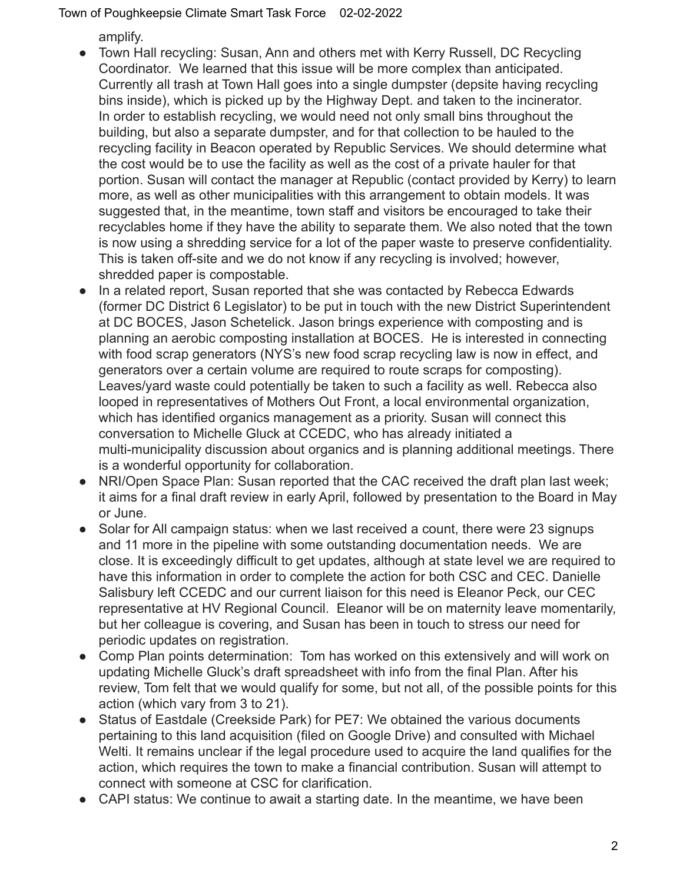Town of Poughkeepsie Climate Smart Task Force 02-02-2022

amplify.

- Town Hall recycling: Susan, Ann and others met with Kerry Russell, DC Recycling Coordinator. We learned that this issue will be more complex than anticipated. Currently all trash at Town Hall goes into a single dumpster (depsite having recycling bins inside), which is picked up by the Highway Dept. and taken to the incinerator. In order to establish recycling, we would need not only small bins throughout the building, but also a separate dumpster, and for that collection to be hauled to the recycling facility in Beacon operated by Republic Services. We should determine what the cost would be to use the facility as well as the cost of a private hauler for that portion. Susan will contact the manager at Republic (contact provided by Kerry) to learn more, as well as other municipalities with this arrangement to obtain models. It was suggested that, in the meantime, town staff and visitors be encouraged to take their recyclables home if they have the ability to separate them. We also noted that the town is now using a shredding service for a lot of the paper waste to preserve confidentiality. This is taken off-site and we do not know if any recycling is involved; however, shredded paper is compostable.
- In a related report, Susan reported that she was contacted by Rebecca Edwards (former DC District 6 Legislator) to be put in touch with the new District Superintendent at DC BOCES, Jason Schetelick. Jason brings experience with composting and is planning an aerobic composting installation at BOCES. He is interested in connecting with food scrap generators (NYS's new food scrap recycling law is now in effect, and generators over a certain volume are required to route scraps for composting). Leaves/yard waste could potentially be taken to such a facility as well. Rebecca also looped in representatives of Mothers Out Front, a local environmental organization, which has identified organics management as a priority. Susan will connect this conversation to Michelle Gluck at CCEDC, who has already initiated a multi-municipality discussion about organics and is planning additional meetings. There is a wonderful opportunity for collaboration.
- NRI/Open Space Plan: Susan reported that the CAC received the draft plan last week; it aims for a final draft review in early April, followed by presentation to the Board in May or June.
- Solar for All campaign status: when we last received a count, there were 23 signups and 11 more in the pipeline with some outstanding documentation needs. We are close. It is exceedingly difficult to get updates, although at state level we are required to have this information in order to complete the action for both CSC and CEC. Danielle Salisbury left CCEDC and our current liaison for this need is Eleanor Peck, our CEC representative at HV Regional Council. Eleanor will be on maternity leave momentarily, but her colleague is covering, and Susan has been in touch to stress our need for periodic updates on registration.
- Comp Plan points determination: Tom has worked on this extensively and will work on updating Michelle Gluck's draft spreadsheet with info from the final Plan. After his review, Tom felt that we would qualify for some, but not all, of the possible points for this action (which vary from 3 to 21).
- Status of Eastdale (Creekside Park) for PE7: We obtained the various documents pertaining to this land acquisition (filed on Google Drive) and consulted with Michael Welti. It remains unclear if the legal procedure used to acquire the land qualifies for the action, which requires the town to make a financial contribution. Susan will attempt to connect with someone at CSC for clarification.
- CAPI status: We continue to await a starting date. In the meantime, we have been